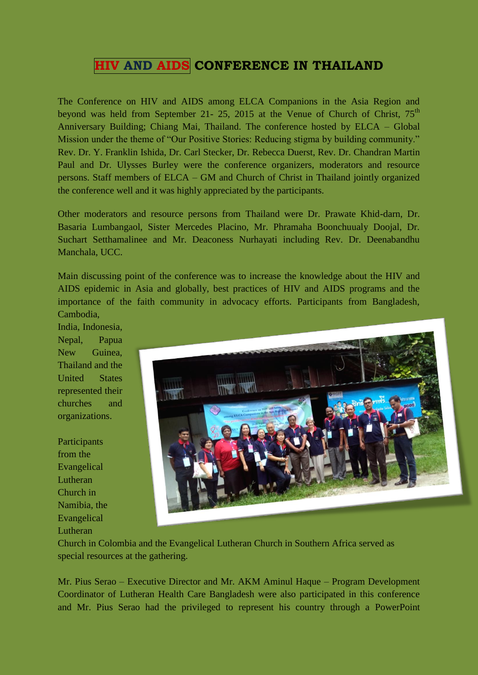## **HIV AND AIDS CONFERENCE IN THAILAND**

The Conference on HIV and AIDS among ELCA Companions in the Asia Region and beyond was held from September 21- 25, 2015 at the Venue of Church of Christ,  $75<sup>th</sup>$ Anniversary Building; Chiang Mai, Thailand. The conference hosted by ELCA – Global Mission under the theme of "Our Positive Stories: Reducing stigma by building community." Rev. Dr. Y. Franklin Ishida, Dr. Carl Stecker, Dr. Rebecca Duerst, Rev. Dr. Chandran Martin Paul and Dr. Ulysses Burley were the conference organizers, moderators and resource persons. Staff members of ELCA – GM and Church of Christ in Thailand jointly organized the conference well and it was highly appreciated by the participants.

Other moderators and resource persons from Thailand were Dr. Prawate Khid-darn, Dr. Basaria Lumbangaol, Sister Mercedes Placino, Mr. Phramaha Boonchuualy Doojal, Dr. Suchart Setthamalinee and Mr. Deaconess Nurhayati including Rev. Dr. Deenabandhu Manchala, UCC.

Main discussing point of the conference was to increase the knowledge about the HIV and AIDS epidemic in Asia and globally, best practices of HIV and AIDS programs and the importance of the faith community in advocacy efforts. Participants from Bangladesh, Cambodia,

India, Indonesia, Nepal, Papua New Guinea, Thailand and the United States represented their churches and organizations.

**Participants** from the Evangelical Lutheran Church in Namibia, the Evangelical Lutheran



Church in Colombia and the Evangelical Lutheran Church in Southern Africa served as special resources at the gathering.

Mr. Pius Serao – Executive Director and Mr. AKM Aminul Haque – Program Development Coordinator of Lutheran Health Care Bangladesh were also participated in this conference and Mr. Pius Serao had the privileged to represent his country through a PowerPoint